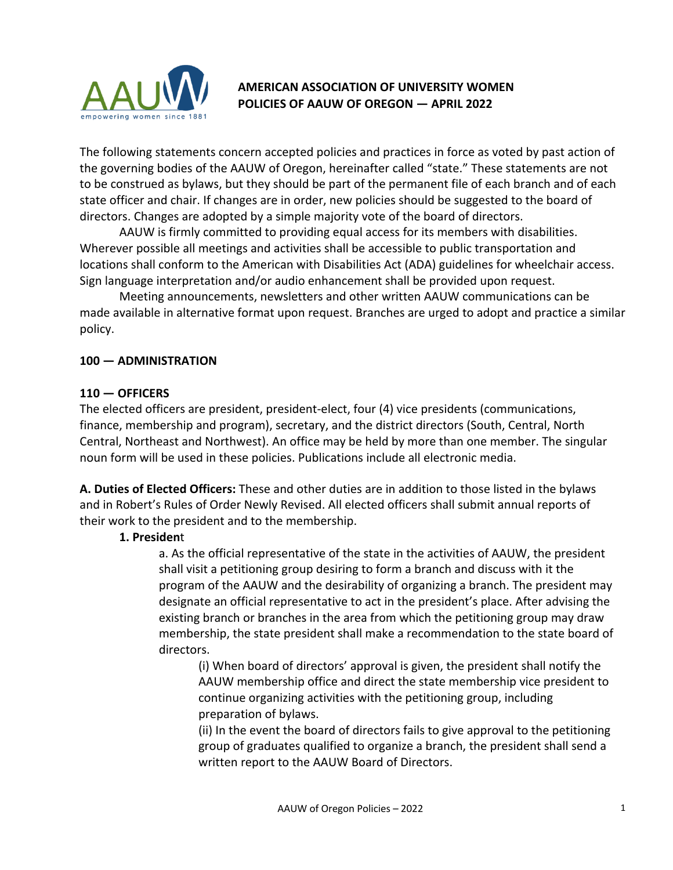

# **AMERICAN ASSOCIATION OF UNIVERSITY WOMEN POLICIES OF AAUW OF OREGON — APRIL 2022**

The following statements concern accepted policies and practices in force as voted by past action of the governing bodies of the AAUW of Oregon, hereinafter called "state." These statements are not to be construed as bylaws, but they should be part of the permanent file of each branch and of each state officer and chair. If changes are in order, new policies should be suggested to the board of directors. Changes are adopted by a simple majority vote of the board of directors.

AAUW is firmly committed to providing equal access for its members with disabilities. Wherever possible all meetings and activities shall be accessible to public transportation and locations shall conform to the American with Disabilities Act (ADA) guidelines for wheelchair access. Sign language interpretation and/or audio enhancement shall be provided upon request.

Meeting announcements, newsletters and other written AAUW communications can be made available in alternative format upon request. Branches are urged to adopt and practice a similar policy.

#### **100 — ADMINISTRATION**

#### **110 — OFFICERS**

The elected officers are president, president-elect, four (4) vice presidents (communications, finance, membership and program), secretary, and the district directors (South, Central, North Central, Northeast and Northwest). An office may be held by more than one member. The singular noun form will be used in these policies. Publications include all electronic media.

**A. Duties of Elected Officers:** These and other duties are in addition to those listed in the bylaws and in Robert's Rules of Order Newly Revised. All elected officers shall submit annual reports of their work to the president and to the membership.

### **1. Presiden**t

a. As the official representative of the state in the activities of AAUW, the president shall visit a petitioning group desiring to form a branch and discuss with it the program of the AAUW and the desirability of organizing a branch. The president may designate an official representative to act in the president's place. After advising the existing branch or branches in the area from which the petitioning group may draw membership, the state president shall make a recommendation to the state board of directors.

(i) When board of directors' approval is given, the president shall notify the AAUW membership office and direct the state membership vice president to continue organizing activities with the petitioning group, including preparation of bylaws.

(ii) In the event the board of directors fails to give approval to the petitioning group of graduates qualified to organize a branch, the president shall send a written report to the AAUW Board of Directors.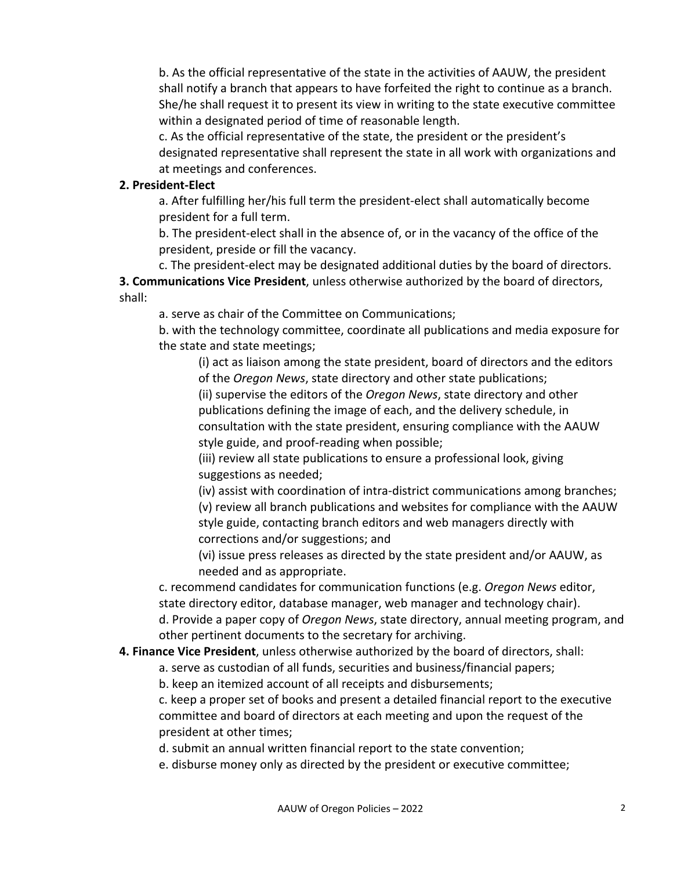b. As the official representative of the state in the activities of AAUW, the president shall notify a branch that appears to have forfeited the right to continue as a branch. She/he shall request it to present its view in writing to the state executive committee within a designated period of time of reasonable length.

c. As the official representative of the state, the president or the president's designated representative shall represent the state in all work with organizations and at meetings and conferences.

#### **2. President-Elect**

a. After fulfilling her/his full term the president-elect shall automatically become president for a full term.

b. The president-elect shall in the absence of, or in the vacancy of the office of the president, preside or fill the vacancy.

c. The president-elect may be designated additional duties by the board of directors.

**3. Communications Vice President**, unless otherwise authorized by the board of directors, shall:

a. serve as chair of the Committee on Communications;

b. with the technology committee, coordinate all publications and media exposure for the state and state meetings;

(i) act as liaison among the state president, board of directors and the editors of the *Oregon News*, state directory and other state publications;

(ii) supervise the editors of the *Oregon News*, state directory and other publications defining the image of each, and the delivery schedule, in consultation with the state president, ensuring compliance with the AAUW style guide, and proof-reading when possible;

(iii) review all state publications to ensure a professional look, giving suggestions as needed;

(iv) assist with coordination of intra-district communications among branches; (v) review all branch publications and websites for compliance with the AAUW style guide, contacting branch editors and web managers directly with corrections and/or suggestions; and

(vi) issue press releases as directed by the state president and/or AAUW, as needed and as appropriate.

c. recommend candidates for communication functions (e.g. *Oregon News* editor, state directory editor, database manager, web manager and technology chair).

d. Provide a paper copy of *Oregon News*, state directory, annual meeting program, and other pertinent documents to the secretary for archiving.

### **4. Finance Vice President**, unless otherwise authorized by the board of directors, shall:

a. serve as custodian of all funds, securities and business/financial papers;

b. keep an itemized account of all receipts and disbursements;

c. keep a proper set of books and present a detailed financial report to the executive committee and board of directors at each meeting and upon the request of the president at other times;

d. submit an annual written financial report to the state convention;

e. disburse money only as directed by the president or executive committee;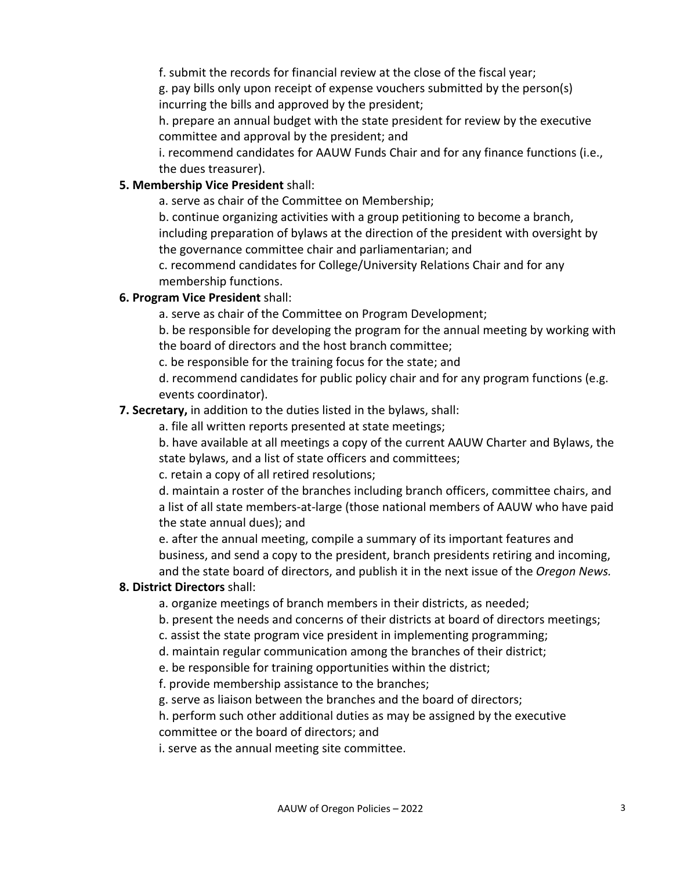f. submit the records for financial review at the close of the fiscal year;

g. pay bills only upon receipt of expense vouchers submitted by the person(s) incurring the bills and approved by the president;

h. prepare an annual budget with the state president for review by the executive committee and approval by the president; and

i. recommend candidates for AAUW Funds Chair and for any finance functions (i.e., the dues treasurer).

### **5. Membership Vice President** shall:

a. serve as chair of the Committee on Membership;

b. continue organizing activities with a group petitioning to become a branch, including preparation of bylaws at the direction of the president with oversight by the governance committee chair and parliamentarian; and

c. recommend candidates for College/University Relations Chair and for any membership functions.

### **6. Program Vice President** shall:

a. serve as chair of the Committee on Program Development;

b. be responsible for developing the program for the annual meeting by working with the board of directors and the host branch committee;

c. be responsible for the training focus for the state; and

d. recommend candidates for public policy chair and for any program functions (e.g. events coordinator).

### **7. Secretary,** in addition to the duties listed in the bylaws, shall:

a. file all written reports presented at state meetings;

b. have available at all meetings a copy of the current AAUW Charter and Bylaws, the state bylaws, and a list of state officers and committees;

c. retain a copy of all retired resolutions;

d. maintain a roster of the branches including branch officers, committee chairs, and a list of all state members-at-large (those national members of AAUW who have paid the state annual dues); and

e. after the annual meeting, compile a summary of its important features and business, and send a copy to the president, branch presidents retiring and incoming, and the state board of directors, and publish it in the next issue of the *Oregon News.* 

### **8. District Directors** shall:

a. organize meetings of branch members in their districts, as needed;

b. present the needs and concerns of their districts at board of directors meetings;

c. assist the state program vice president in implementing programming;

d. maintain regular communication among the branches of their district;

e. be responsible for training opportunities within the district;

f. provide membership assistance to the branches;

g. serve as liaison between the branches and the board of directors;

h. perform such other additional duties as may be assigned by the executive committee or the board of directors; and

i. serve as the annual meeting site committee.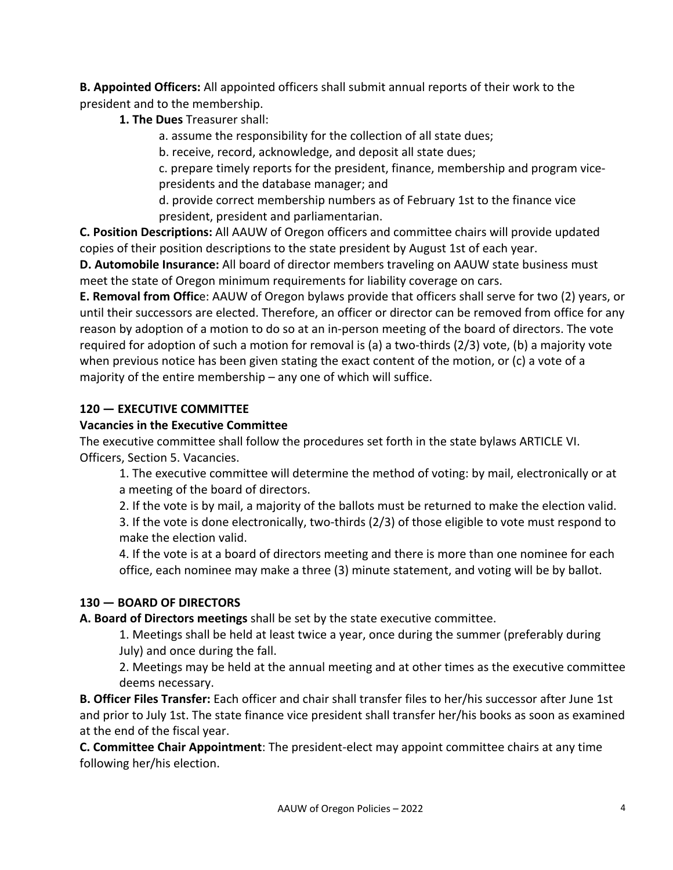**B. Appointed Officers:** All appointed officers shall submit annual reports of their work to the president and to the membership.

**1. The Dues** Treasurer shall:

a. assume the responsibility for the collection of all state dues;

b. receive, record, acknowledge, and deposit all state dues;

c. prepare timely reports for the president, finance, membership and program vicepresidents and the database manager; and

d. provide correct membership numbers as of February 1st to the finance vice president, president and parliamentarian.

**C. Position Descriptions:** All AAUW of Oregon officers and committee chairs will provide updated copies of their position descriptions to the state president by August 1st of each year.

**D. Automobile Insurance:** All board of director members traveling on AAUW state business must meet the state of Oregon minimum requirements for liability coverage on cars.

**E. Removal from Offic**e: AAUW of Oregon bylaws provide that officers shall serve for two (2) years, or until their successors are elected. Therefore, an officer or director can be removed from office for any reason by adoption of a motion to do so at an in-person meeting of the board of directors. The vote required for adoption of such a motion for removal is (a) a two-thirds (2/3) vote, (b) a majority vote when previous notice has been given stating the exact content of the motion, or (c) a vote of a majority of the entire membership – any one of which will suffice.

# **120 — EXECUTIVE COMMITTEE**

# **Vacancies in the Executive Committee**

The executive committee shall follow the procedures set forth in the state bylaws ARTICLE VI. Officers, Section 5. Vacancies.

1. The executive committee will determine the method of voting: by mail, electronically or at a meeting of the board of directors.

2. If the vote is by mail, a majority of the ballots must be returned to make the election valid.

3. If the vote is done electronically, two-thirds (2/3) of those eligible to vote must respond to make the election valid.

4. If the vote is at a board of directors meeting and there is more than one nominee for each office, each nominee may make a three (3) minute statement, and voting will be by ballot.

# **130 — BOARD OF DIRECTORS**

# **A. Board of Directors meetings** shall be set by the state executive committee.

1. Meetings shall be held at least twice a year, once during the summer (preferably during July) and once during the fall.

2. Meetings may be held at the annual meeting and at other times as the executive committee deems necessary.

**B. Officer Files Transfer:** Each officer and chair shall transfer files to her/his successor after June 1st and prior to July 1st. The state finance vice president shall transfer her/his books as soon as examined at the end of the fiscal year.

**C. Committee Chair Appointment**: The president-elect may appoint committee chairs at any time following her/his election.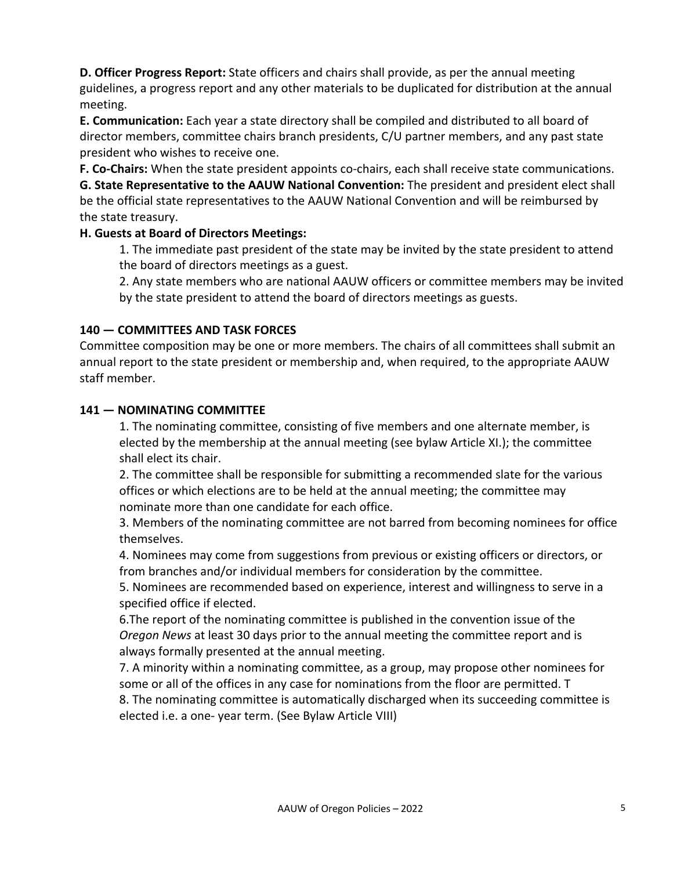**D. Officer Progress Report:** State officers and chairs shall provide, as per the annual meeting guidelines, a progress report and any other materials to be duplicated for distribution at the annual meeting.

**E. Communication:** Each year a state directory shall be compiled and distributed to all board of director members, committee chairs branch presidents, C/U partner members, and any past state president who wishes to receive one.

**F. Co-Chairs:** When the state president appoints co-chairs, each shall receive state communications.

**G. State Representative to the AAUW National Convention:** The president and president elect shall be the official state representatives to the AAUW National Convention and will be reimbursed by the state treasury.

### **H. Guests at Board of Directors Meetings:**

1. The immediate past president of the state may be invited by the state president to attend the board of directors meetings as a guest.

2. Any state members who are national AAUW officers or committee members may be invited by the state president to attend the board of directors meetings as guests.

### **140 — COMMITTEES AND TASK FORCES**

Committee composition may be one or more members. The chairs of all committees shall submit an annual report to the state president or membership and, when required, to the appropriate AAUW staff member.

### **141 — NOMINATING COMMITTEE**

1. The nominating committee, consisting of five members and one alternate member, is elected by the membership at the annual meeting (see bylaw Article XI.); the committee shall elect its chair.

2. The committee shall be responsible for submitting a recommended slate for the various offices or which elections are to be held at the annual meeting; the committee may nominate more than one candidate for each office.

3. Members of the nominating committee are not barred from becoming nominees for office themselves.

4. Nominees may come from suggestions from previous or existing officers or directors, or from branches and/or individual members for consideration by the committee.

5. Nominees are recommended based on experience, interest and willingness to serve in a specified office if elected.

6.The report of the nominating committee is published in the convention issue of the *Oregon News* at least 30 days prior to the annual meeting the committee report and is always formally presented at the annual meeting.

7. A minority within a nominating committee, as a group, may propose other nominees for some or all of the offices in any case for nominations from the floor are permitted. T

8. The nominating committee is automatically discharged when its succeeding committee is elected i.e. a one- year term. (See Bylaw Article VIII)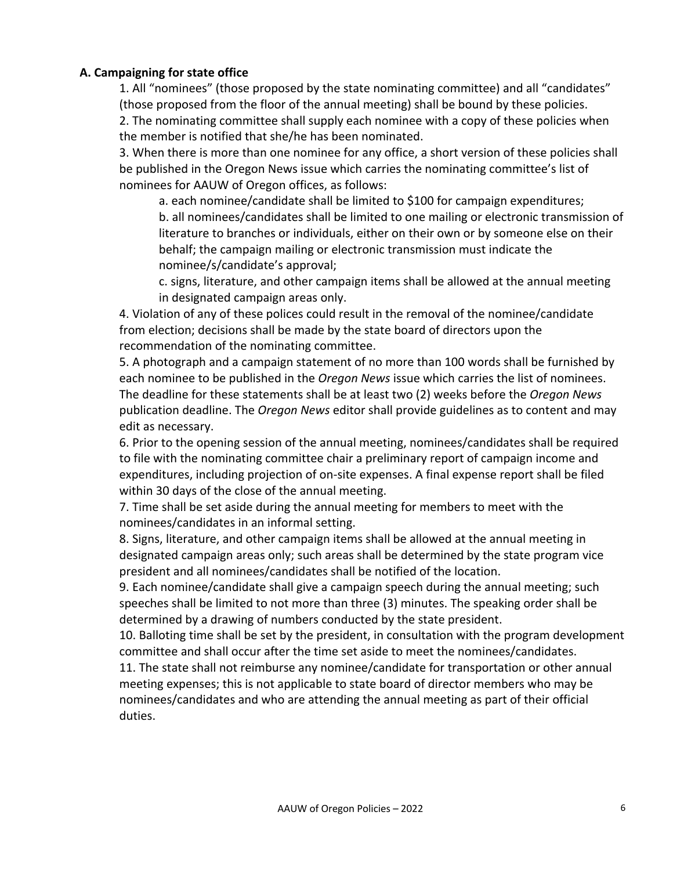#### **A. Campaigning for state office**

1. All "nominees" (those proposed by the state nominating committee) and all "candidates" (those proposed from the floor of the annual meeting) shall be bound by these policies. 2. The nominating committee shall supply each nominee with a copy of these policies when the member is notified that she/he has been nominated.

3. When there is more than one nominee for any office, a short version of these policies shall be published in the Oregon News issue which carries the nominating committee's list of nominees for AAUW of Oregon offices, as follows:

a. each nominee/candidate shall be limited to \$100 for campaign expenditures; b. all nominees/candidates shall be limited to one mailing or electronic transmission of literature to branches or individuals, either on their own or by someone else on their behalf; the campaign mailing or electronic transmission must indicate the nominee/s/candidate's approval;

c. signs, literature, and other campaign items shall be allowed at the annual meeting in designated campaign areas only.

4. Violation of any of these polices could result in the removal of the nominee/candidate from election; decisions shall be made by the state board of directors upon the recommendation of the nominating committee.

5. A photograph and a campaign statement of no more than 100 words shall be furnished by each nominee to be published in the *Oregon News* issue which carries the list of nominees. The deadline for these statements shall be at least two (2) weeks before the *Oregon News*  publication deadline. The *Oregon News* editor shall provide guidelines as to content and may edit as necessary.

6. Prior to the opening session of the annual meeting, nominees/candidates shall be required to file with the nominating committee chair a preliminary report of campaign income and expenditures, including projection of on-site expenses. A final expense report shall be filed within 30 days of the close of the annual meeting.

7. Time shall be set aside during the annual meeting for members to meet with the nominees/candidates in an informal setting.

8. Signs, literature, and other campaign items shall be allowed at the annual meeting in designated campaign areas only; such areas shall be determined by the state program vice president and all nominees/candidates shall be notified of the location.

9. Each nominee/candidate shall give a campaign speech during the annual meeting; such speeches shall be limited to not more than three (3) minutes. The speaking order shall be determined by a drawing of numbers conducted by the state president.

10. Balloting time shall be set by the president, in consultation with the program development committee and shall occur after the time set aside to meet the nominees/candidates.

11. The state shall not reimburse any nominee/candidate for transportation or other annual meeting expenses; this is not applicable to state board of director members who may be nominees/candidates and who are attending the annual meeting as part of their official duties.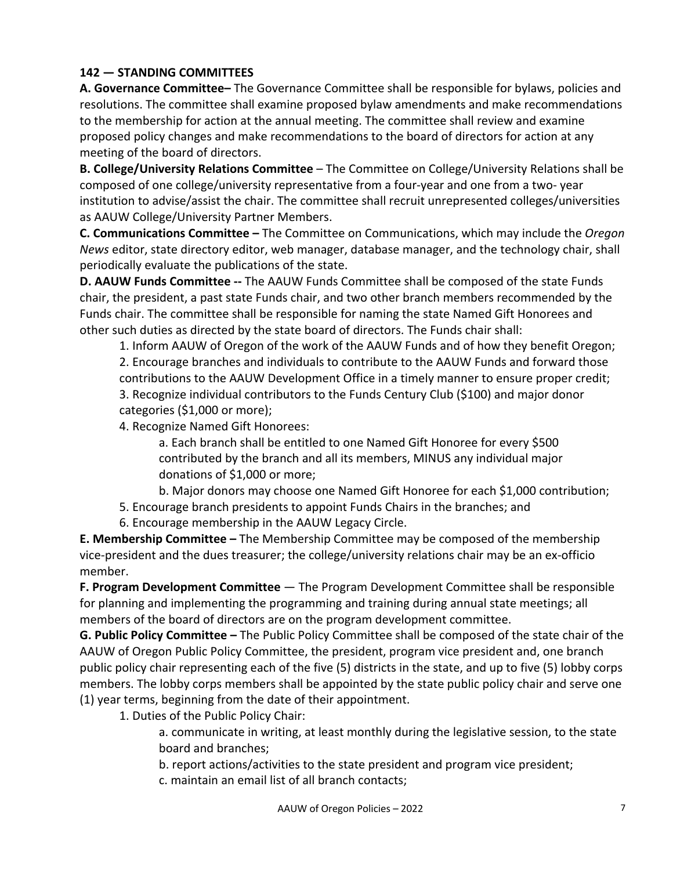### **142 — STANDING COMMITTEES**

**A. Governance Committee–** The Governance Committee shall be responsible for bylaws, policies and resolutions. The committee shall examine proposed bylaw amendments and make recommendations to the membership for action at the annual meeting. The committee shall review and examine proposed policy changes and make recommendations to the board of directors for action at any meeting of the board of directors.

**B. College/University Relations Committee** – The Committee on College/University Relations shall be composed of one college/university representative from a four-year and one from a two- year institution to advise/assist the chair. The committee shall recruit unrepresented colleges/universities as AAUW College/University Partner Members.

**C. Communications Committee –** The Committee on Communications, which may include the *Oregon News* editor, state directory editor, web manager, database manager, and the technology chair, shall periodically evaluate the publications of the state.

**D. AAUW Funds Committee --** The AAUW Funds Committee shall be composed of the state Funds chair, the president, a past state Funds chair, and two other branch members recommended by the Funds chair. The committee shall be responsible for naming the state Named Gift Honorees and other such duties as directed by the state board of directors. The Funds chair shall:

1. Inform AAUW of Oregon of the work of the AAUW Funds and of how they benefit Oregon; 2. Encourage branches and individuals to contribute to the AAUW Funds and forward those contributions to the AAUW Development Office in a timely manner to ensure proper credit; 3. Recognize individual contributors to the Funds Century Club (\$100) and major donor categories (\$1,000 or more);

4. Recognize Named Gift Honorees:

a. Each branch shall be entitled to one Named Gift Honoree for every \$500 contributed by the branch and all its members, MINUS any individual major donations of \$1,000 or more;

- b. Major donors may choose one Named Gift Honoree for each \$1,000 contribution;
- 5. Encourage branch presidents to appoint Funds Chairs in the branches; and
- 6. Encourage membership in the AAUW Legacy Circle.

**E. Membership Committee –** The Membership Committee may be composed of the membership vice-president and the dues treasurer; the college/university relations chair may be an ex-officio member.

**F. Program Development Committee** — The Program Development Committee shall be responsible for planning and implementing the programming and training during annual state meetings; all members of the board of directors are on the program development committee.

**G. Public Policy Committee –** The Public Policy Committee shall be composed of the state chair of the AAUW of Oregon Public Policy Committee, the president, program vice president and, one branch public policy chair representing each of the five (5) districts in the state, and up to five (5) lobby corps members. The lobby corps members shall be appointed by the state public policy chair and serve one (1) year terms, beginning from the date of their appointment.

1. Duties of the Public Policy Chair:

a. communicate in writing, at least monthly during the legislative session, to the state board and branches;

b. report actions/activities to the state president and program vice president;

c. maintain an email list of all branch contacts;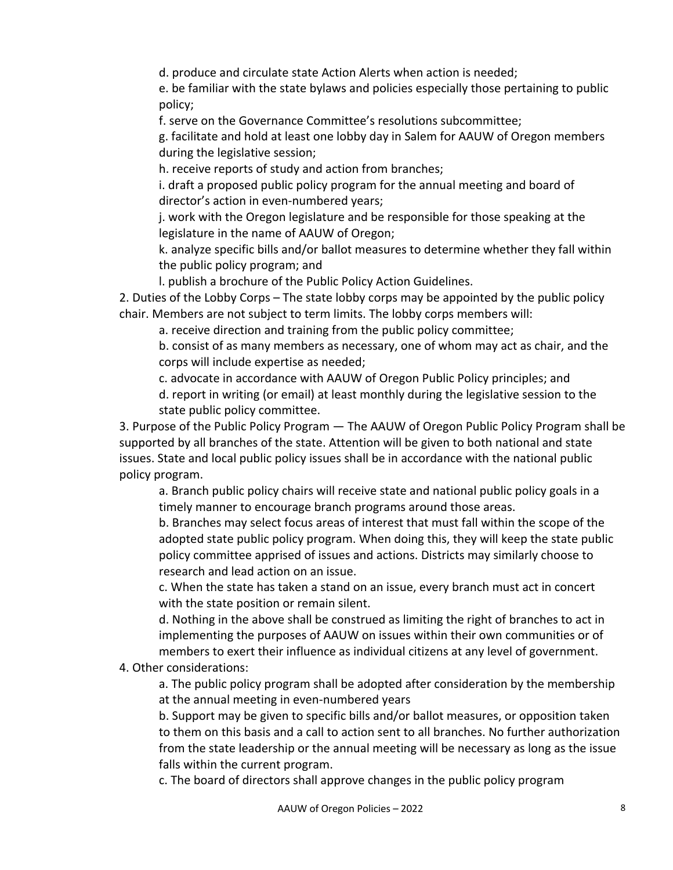d. produce and circulate state Action Alerts when action is needed;

e. be familiar with the state bylaws and policies especially those pertaining to public policy;

f. serve on the Governance Committee's resolutions subcommittee;

g. facilitate and hold at least one lobby day in Salem for AAUW of Oregon members during the legislative session;

h. receive reports of study and action from branches;

i. draft a proposed public policy program for the annual meeting and board of director's action in even-numbered years;

j. work with the Oregon legislature and be responsible for those speaking at the legislature in the name of AAUW of Oregon;

k. analyze specific bills and/or ballot measures to determine whether they fall within the public policy program; and

l. publish a brochure of the Public Policy Action Guidelines.

2. Duties of the Lobby Corps – The state lobby corps may be appointed by the public policy chair. Members are not subject to term limits. The lobby corps members will:

a. receive direction and training from the public policy committee;

b. consist of as many members as necessary, one of whom may act as chair, and the corps will include expertise as needed;

c. advocate in accordance with AAUW of Oregon Public Policy principles; and

d. report in writing (or email) at least monthly during the legislative session to the state public policy committee.

3. Purpose of the Public Policy Program — The AAUW of Oregon Public Policy Program shall be supported by all branches of the state. Attention will be given to both national and state issues. State and local public policy issues shall be in accordance with the national public policy program.

a. Branch public policy chairs will receive state and national public policy goals in a timely manner to encourage branch programs around those areas.

b. Branches may select focus areas of interest that must fall within the scope of the adopted state public policy program. When doing this, they will keep the state public policy committee apprised of issues and actions. Districts may similarly choose to research and lead action on an issue.

c. When the state has taken a stand on an issue, every branch must act in concert with the state position or remain silent.

d. Nothing in the above shall be construed as limiting the right of branches to act in implementing the purposes of AAUW on issues within their own communities or of members to exert their influence as individual citizens at any level of government.

4. Other considerations:

a. The public policy program shall be adopted after consideration by the membership at the annual meeting in even-numbered years

b. Support may be given to specific bills and/or ballot measures, or opposition taken to them on this basis and a call to action sent to all branches. No further authorization from the state leadership or the annual meeting will be necessary as long as the issue falls within the current program.

c. The board of directors shall approve changes in the public policy program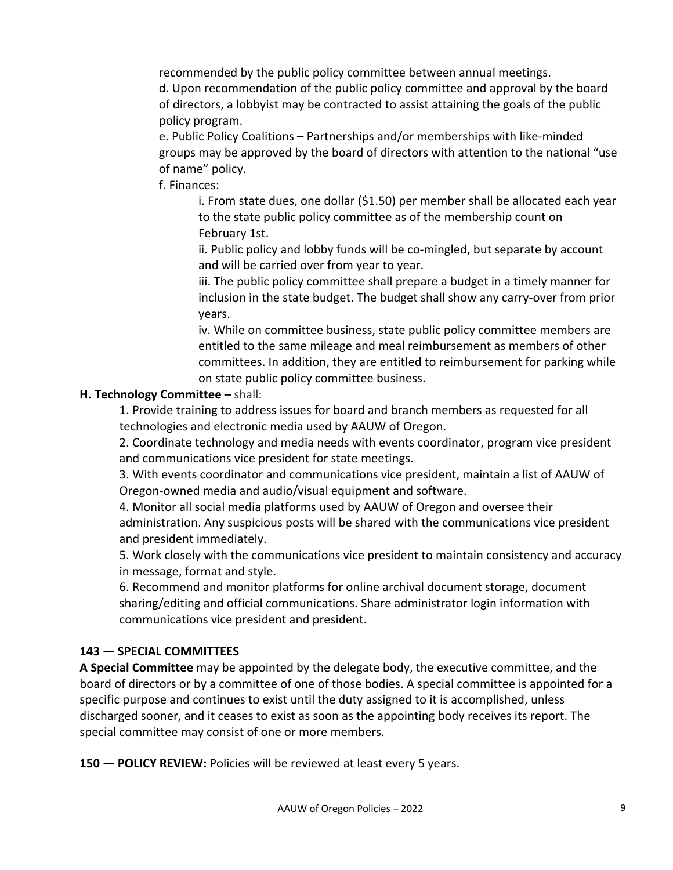recommended by the public policy committee between annual meetings.

d. Upon recommendation of the public policy committee and approval by the board of directors, a lobbyist may be contracted to assist attaining the goals of the public policy program.

e. Public Policy Coalitions – Partnerships and/or memberships with like-minded groups may be approved by the board of directors with attention to the national "use of name" policy.

f. Finances:

i. From state dues, one dollar (\$1.50) per member shall be allocated each year to the state public policy committee as of the membership count on February 1st.

ii. Public policy and lobby funds will be co-mingled, but separate by account and will be carried over from year to year.

iii. The public policy committee shall prepare a budget in a timely manner for inclusion in the state budget. The budget shall show any carry-over from prior years.

iv. While on committee business, state public policy committee members are entitled to the same mileage and meal reimbursement as members of other committees. In addition, they are entitled to reimbursement for parking while on state public policy committee business.

#### **H. Technology Committee –** shall:

1. Provide training to address issues for board and branch members as requested for all technologies and electronic media used by AAUW of Oregon.

2. Coordinate technology and media needs with events coordinator, program vice president and communications vice president for state meetings.

3. With events coordinator and communications vice president, maintain a list of AAUW of Oregon-owned media and audio/visual equipment and software.

4. Monitor all social media platforms used by AAUW of Oregon and oversee their administration. Any suspicious posts will be shared with the communications vice president and president immediately.

5. Work closely with the communications vice president to maintain consistency and accuracy in message, format and style.

6. Recommend and monitor platforms for online archival document storage, document sharing/editing and official communications. Share administrator login information with communications vice president and president.

### **143 — SPECIAL COMMITTEES**

**A Special Committee** may be appointed by the delegate body, the executive committee, and the board of directors or by a committee of one of those bodies. A special committee is appointed for a specific purpose and continues to exist until the duty assigned to it is accomplished, unless discharged sooner, and it ceases to exist as soon as the appointing body receives its report. The special committee may consist of one or more members.

**150 — POLICY REVIEW:** Policies will be reviewed at least every 5 years.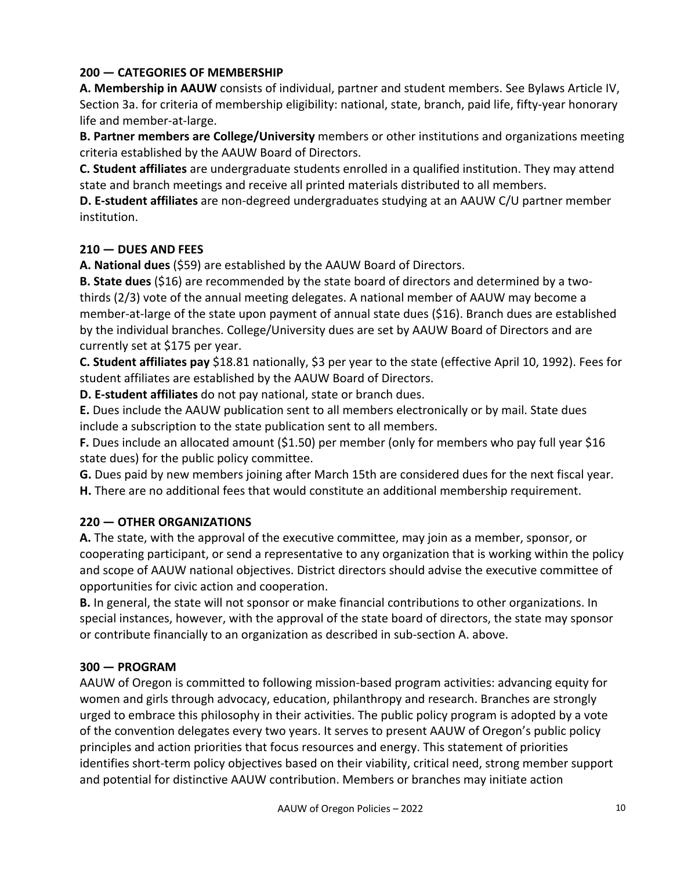### **200 — CATEGORIES OF MEMBERSHIP**

**A. Membership in AAUW** consists of individual, partner and student members. See Bylaws Article IV, Section 3a. for criteria of membership eligibility: national, state, branch, paid life, fifty-year honorary life and member-at-large.

**B. Partner members are College/University** members or other institutions and organizations meeting criteria established by the AAUW Board of Directors.

**C. Student affiliates** are undergraduate students enrolled in a qualified institution. They may attend state and branch meetings and receive all printed materials distributed to all members.

**D. E-student affiliates** are non-degreed undergraduates studying at an AAUW C/U partner member institution.

### **210 — DUES AND FEES**

**A. National dues** (\$59) are established by the AAUW Board of Directors.

**B. State dues** (\$16) are recommended by the state board of directors and determined by a twothirds (2/3) vote of the annual meeting delegates. A national member of AAUW may become a member-at-large of the state upon payment of annual state dues (\$16). Branch dues are established by the individual branches. College/University dues are set by AAUW Board of Directors and are currently set at \$175 per year.

**C. Student affiliates pay** \$18.81 nationally, \$3 per year to the state (effective April 10, 1992). Fees for student affiliates are established by the AAUW Board of Directors.

**D. E-student affiliates** do not pay national, state or branch dues.

**E.** Dues include the AAUW publication sent to all members electronically or by mail. State dues include a subscription to the state publication sent to all members.

**F.** Dues include an allocated amount (\$1.50) per member (only for members who pay full year \$16 state dues) for the public policy committee.

**G.** Dues paid by new members joining after March 15th are considered dues for the next fiscal year. **H.** There are no additional fees that would constitute an additional membership requirement.

### **220 — OTHER ORGANIZATIONS**

**A.** The state, with the approval of the executive committee, may join as a member, sponsor, or cooperating participant, or send a representative to any organization that is working within the policy and scope of AAUW national objectives. District directors should advise the executive committee of opportunities for civic action and cooperation.

**B.** In general, the state will not sponsor or make financial contributions to other organizations. In special instances, however, with the approval of the state board of directors, the state may sponsor or contribute financially to an organization as described in sub-section A. above.

### **300 — PROGRAM**

AAUW of Oregon is committed to following mission-based program activities: advancing equity for women and girls through advocacy, education, philanthropy and research. Branches are strongly urged to embrace this philosophy in their activities. The public policy program is adopted by a vote of the convention delegates every two years. It serves to present AAUW of Oregon's public policy principles and action priorities that focus resources and energy. This statement of priorities identifies short-term policy objectives based on their viability, critical need, strong member support and potential for distinctive AAUW contribution. Members or branches may initiate action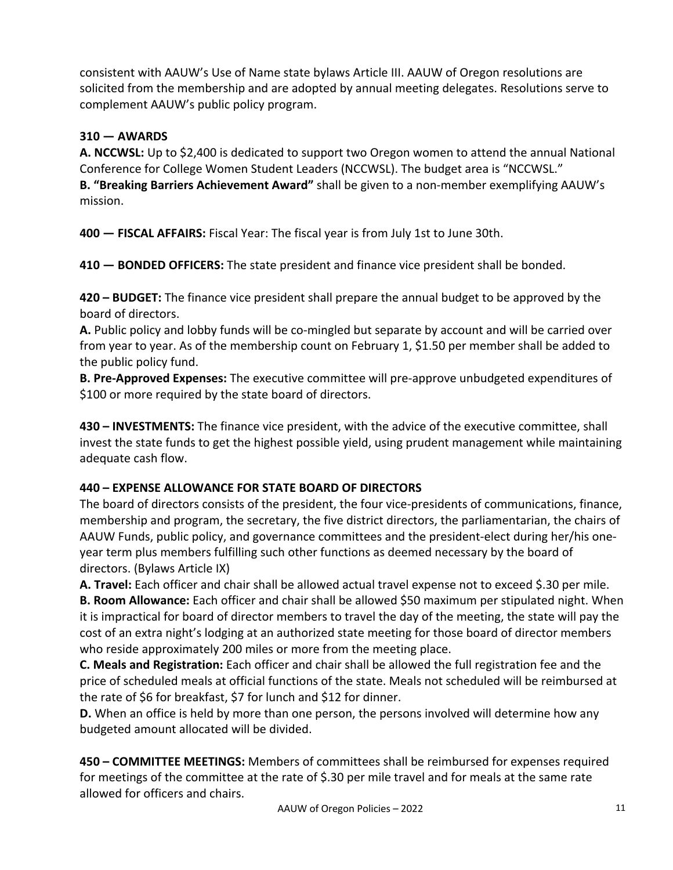consistent with AAUW's Use of Name state bylaws Article III. AAUW of Oregon resolutions are solicited from the membership and are adopted by annual meeting delegates. Resolutions serve to complement AAUW's public policy program.

# **310 — AWARDS**

**A. NCCWSL:** Up to \$2,400 is dedicated to support two Oregon women to attend the annual National Conference for College Women Student Leaders (NCCWSL). The budget area is "NCCWSL." **B. "Breaking Barriers Achievement Award"** shall be given to a non-member exemplifying AAUW's mission.

**400 — FISCAL AFFAIRS:** Fiscal Year: The fiscal year is from July 1st to June 30th.

**410 — BONDED OFFICERS:** The state president and finance vice president shall be bonded.

**420 – BUDGET:** The finance vice president shall prepare the annual budget to be approved by the board of directors.

**A.** Public policy and lobby funds will be co-mingled but separate by account and will be carried over from year to year. As of the membership count on February 1, \$1.50 per member shall be added to the public policy fund.

**B. Pre-Approved Expenses:** The executive committee will pre-approve unbudgeted expenditures of \$100 or more required by the state board of directors.

**430 – INVESTMENTS:** The finance vice president, with the advice of the executive committee, shall invest the state funds to get the highest possible yield, using prudent management while maintaining adequate cash flow.

# **440 – EXPENSE ALLOWANCE FOR STATE BOARD OF DIRECTORS**

The board of directors consists of the president, the four vice-presidents of communications, finance, membership and program, the secretary, the five district directors, the parliamentarian, the chairs of AAUW Funds, public policy, and governance committees and the president-elect during her/his oneyear term plus members fulfilling such other functions as deemed necessary by the board of directors. (Bylaws Article IX)

**A. Travel:** Each officer and chair shall be allowed actual travel expense not to exceed \$.30 per mile. **B. Room Allowance:** Each officer and chair shall be allowed \$50 maximum per stipulated night. When it is impractical for board of director members to travel the day of the meeting, the state will pay the cost of an extra night's lodging at an authorized state meeting for those board of director members who reside approximately 200 miles or more from the meeting place.

**C. Meals and Registration:** Each officer and chair shall be allowed the full registration fee and the price of scheduled meals at official functions of the state. Meals not scheduled will be reimbursed at the rate of \$6 for breakfast, \$7 for lunch and \$12 for dinner.

**D.** When an office is held by more than one person, the persons involved will determine how any budgeted amount allocated will be divided.

**450 – COMMITTEE MEETINGS:** Members of committees shall be reimbursed for expenses required for meetings of the committee at the rate of \$.30 per mile travel and for meals at the same rate allowed for officers and chairs.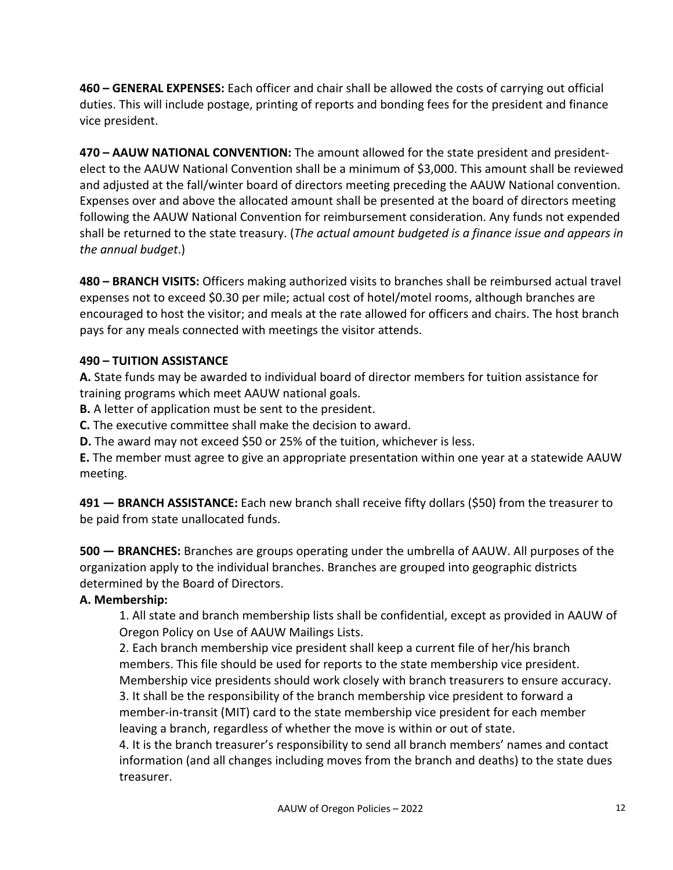**460 – GENERAL EXPENSES:** Each officer and chair shall be allowed the costs of carrying out official duties. This will include postage, printing of reports and bonding fees for the president and finance vice president.

**470 – AAUW NATIONAL CONVENTION:** The amount allowed for the state president and presidentelect to the AAUW National Convention shall be a minimum of \$3,000. This amount shall be reviewed and adjusted at the fall/winter board of directors meeting preceding the AAUW National convention. Expenses over and above the allocated amount shall be presented at the board of directors meeting following the AAUW National Convention for reimbursement consideration. Any funds not expended shall be returned to the state treasury. (*The actual amount budgeted is a finance issue and appears in the annual budget*.)

**480 – BRANCH VISITS:** Officers making authorized visits to branches shall be reimbursed actual travel expenses not to exceed \$0.30 per mile; actual cost of hotel/motel rooms, although branches are encouraged to host the visitor; and meals at the rate allowed for officers and chairs. The host branch pays for any meals connected with meetings the visitor attends.

### **490 – TUITION ASSISTANCE**

**A.** State funds may be awarded to individual board of director members for tuition assistance for training programs which meet AAUW national goals.

**B.** A letter of application must be sent to the president.

**C.** The executive committee shall make the decision to award.

**D.** The award may not exceed \$50 or 25% of the tuition, whichever is less.

**E.** The member must agree to give an appropriate presentation within one year at a statewide AAUW meeting.

**491 — BRANCH ASSISTANCE:** Each new branch shall receive fifty dollars (\$50) from the treasurer to be paid from state unallocated funds.

**500 — BRANCHES:** Branches are groups operating under the umbrella of AAUW. All purposes of the organization apply to the individual branches. Branches are grouped into geographic districts determined by the Board of Directors.

### **A. Membership:**

1. All state and branch membership lists shall be confidential, except as provided in AAUW of Oregon Policy on Use of AAUW Mailings Lists.

2. Each branch membership vice president shall keep a current file of her/his branch members. This file should be used for reports to the state membership vice president. Membership vice presidents should work closely with branch treasurers to ensure accuracy. 3. It shall be the responsibility of the branch membership vice president to forward a member-in-transit (MIT) card to the state membership vice president for each member leaving a branch, regardless of whether the move is within or out of state.

4. It is the branch treasurer's responsibility to send all branch members' names and contact information (and all changes including moves from the branch and deaths) to the state dues treasurer.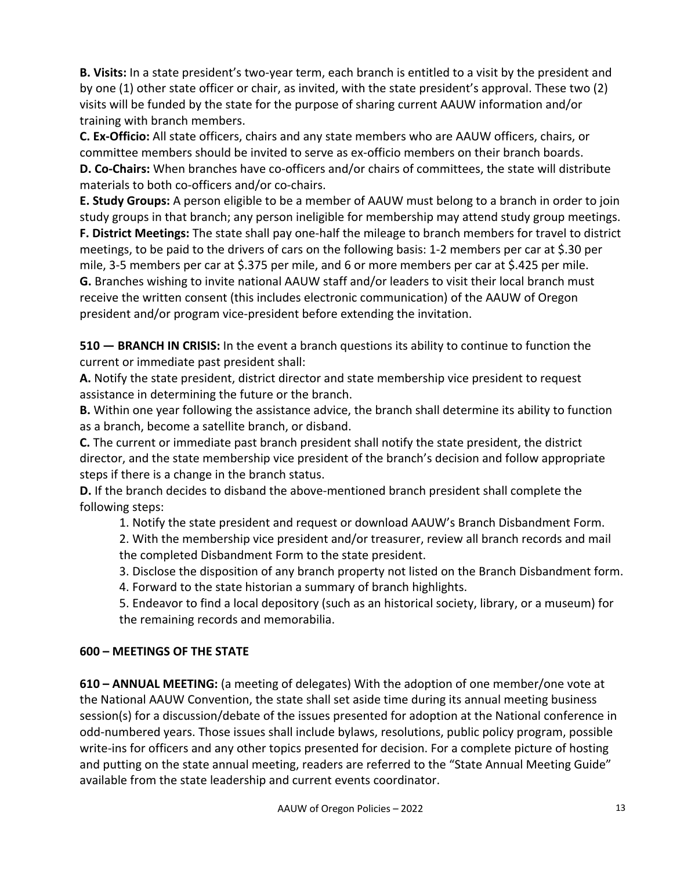**B. Visits:** In a state president's two-year term, each branch is entitled to a visit by the president and by one (1) other state officer or chair, as invited, with the state president's approval. These two (2) visits will be funded by the state for the purpose of sharing current AAUW information and/or training with branch members.

**C. Ex-Officio:** All state officers, chairs and any state members who are AAUW officers, chairs, or committee members should be invited to serve as ex-officio members on their branch boards. **D. Co-Chairs:** When branches have co-officers and/or chairs of committees, the state will distribute materials to both co-officers and/or co-chairs.

**E. Study Groups:** A person eligible to be a member of AAUW must belong to a branch in order to join study groups in that branch; any person ineligible for membership may attend study group meetings. **F. District Meetings:** The state shall pay one-half the mileage to branch members for travel to district meetings, to be paid to the drivers of cars on the following basis: 1-2 members per car at \$.30 per mile, 3-5 members per car at \$.375 per mile, and 6 or more members per car at \$.425 per mile. **G.** Branches wishing to invite national AAUW staff and/or leaders to visit their local branch must receive the written consent (this includes electronic communication) of the AAUW of Oregon president and/or program vice-president before extending the invitation.

**510 — BRANCH IN CRISIS:** In the event a branch questions its ability to continue to function the current or immediate past president shall:

**A.** Notify the state president, district director and state membership vice president to request assistance in determining the future or the branch.

**B.** Within one year following the assistance advice, the branch shall determine its ability to function as a branch, become a satellite branch, or disband.

**C.** The current or immediate past branch president shall notify the state president, the district director, and the state membership vice president of the branch's decision and follow appropriate steps if there is a change in the branch status.

**D.** If the branch decides to disband the above-mentioned branch president shall complete the following steps:

1. Notify the state president and request or download AAUW's Branch Disbandment Form.

2. With the membership vice president and/or treasurer, review all branch records and mail the completed Disbandment Form to the state president.

3. Disclose the disposition of any branch property not listed on the Branch Disbandment form.

4. Forward to the state historian a summary of branch highlights.

5. Endeavor to find a local depository (such as an historical society, library, or a museum) for the remaining records and memorabilia.

# **600 – MEETINGS OF THE STATE**

**610 – ANNUAL MEETING:** (a meeting of delegates) With the adoption of one member/one vote at the National AAUW Convention, the state shall set aside time during its annual meeting business session(s) for a discussion/debate of the issues presented for adoption at the National conference in odd-numbered years. Those issues shall include bylaws, resolutions, public policy program, possible write-ins for officers and any other topics presented for decision. For a complete picture of hosting and putting on the state annual meeting, readers are referred to the "State Annual Meeting Guide" available from the state leadership and current events coordinator.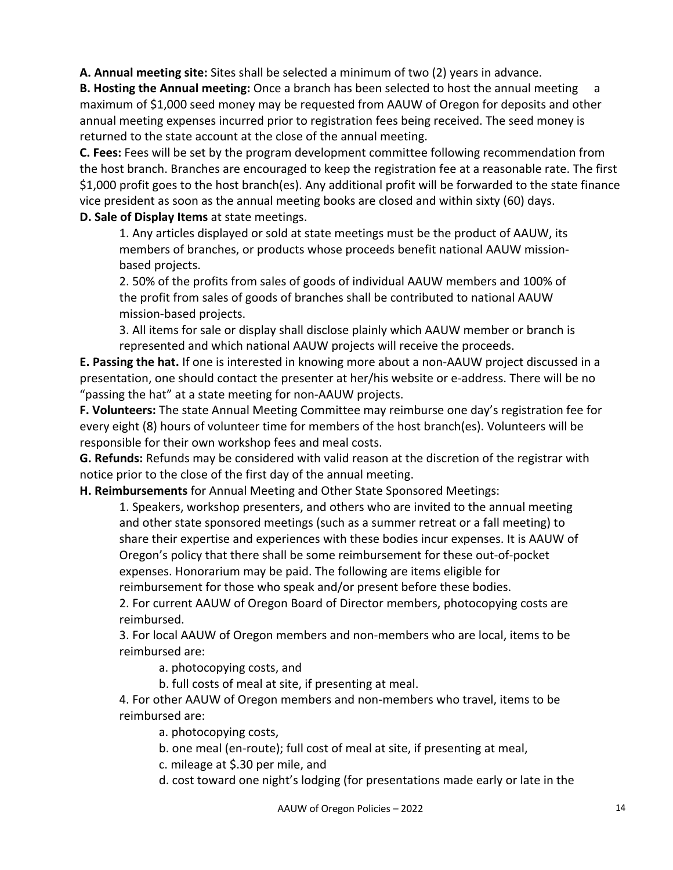**A. Annual meeting site:** Sites shall be selected a minimum of two (2) years in advance.

**B. Hosting the Annual meeting:** Once a branch has been selected to host the annual meeting a maximum of \$1,000 seed money may be requested from AAUW of Oregon for deposits and other annual meeting expenses incurred prior to registration fees being received. The seed money is returned to the state account at the close of the annual meeting.

**C. Fees:** Fees will be set by the program development committee following recommendation from the host branch. Branches are encouraged to keep the registration fee at a reasonable rate. The first \$1,000 profit goes to the host branch(es). Any additional profit will be forwarded to the state finance vice president as soon as the annual meeting books are closed and within sixty (60) days. **D. Sale of Display Items** at state meetings.

1. Any articles displayed or sold at state meetings must be the product of AAUW, its members of branches, or products whose proceeds benefit national AAUW missionbased projects.

2. 50% of the profits from sales of goods of individual AAUW members and 100% of the profit from sales of goods of branches shall be contributed to national AAUW mission-based projects.

3. All items for sale or display shall disclose plainly which AAUW member or branch is represented and which national AAUW projects will receive the proceeds.

**E. Passing the hat.** If one is interested in knowing more about a non-AAUW project discussed in a presentation, one should contact the presenter at her/his website or e-address. There will be no "passing the hat" at a state meeting for non-AAUW projects.

**F. Volunteers:** The state Annual Meeting Committee may reimburse one day's registration fee for every eight (8) hours of volunteer time for members of the host branch(es). Volunteers will be responsible for their own workshop fees and meal costs.

**G. Refunds:** Refunds may be considered with valid reason at the discretion of the registrar with notice prior to the close of the first day of the annual meeting.

**H. Reimbursements** for Annual Meeting and Other State Sponsored Meetings:

1. Speakers, workshop presenters, and others who are invited to the annual meeting and other state sponsored meetings (such as a summer retreat or a fall meeting) to share their expertise and experiences with these bodies incur expenses. It is AAUW of Oregon's policy that there shall be some reimbursement for these out-of-pocket expenses. Honorarium may be paid. The following are items eligible for reimbursement for those who speak and/or present before these bodies.

2. For current AAUW of Oregon Board of Director members, photocopying costs are reimbursed.

3. For local AAUW of Oregon members and non-members who are local, items to be reimbursed are:

a. photocopying costs, and

b. full costs of meal at site, if presenting at meal.

4. For other AAUW of Oregon members and non-members who travel, items to be reimbursed are:

a. photocopying costs,

b. one meal (en-route); full cost of meal at site, if presenting at meal,

c. mileage at \$.30 per mile, and

d. cost toward one night's lodging (for presentations made early or late in the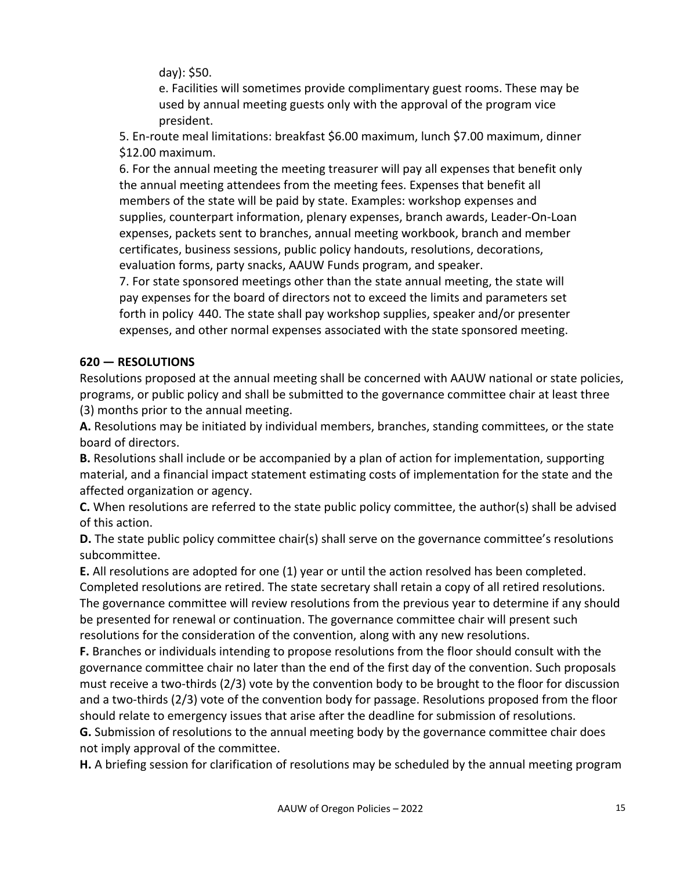day): \$50.

e. Facilities will sometimes provide complimentary guest rooms. These may be used by annual meeting guests only with the approval of the program vice president.

5. En-route meal limitations: breakfast \$6.00 maximum, lunch \$7.00 maximum, dinner \$12.00 maximum.

6. For the annual meeting the meeting treasurer will pay all expenses that benefit only the annual meeting attendees from the meeting fees. Expenses that benefit all members of the state will be paid by state. Examples: workshop expenses and supplies, counterpart information, plenary expenses, branch awards, Leader-On-Loan expenses, packets sent to branches, annual meeting workbook, branch and member certificates, business sessions, public policy handouts, resolutions, decorations, evaluation forms, party snacks, AAUW Funds program, and speaker.

7. For state sponsored meetings other than the state annual meeting, the state will pay expenses for the board of directors not to exceed the limits and parameters set forth in policy 440. The state shall pay workshop supplies, speaker and/or presenter expenses, and other normal expenses associated with the state sponsored meeting.

# **620 — RESOLUTIONS**

Resolutions proposed at the annual meeting shall be concerned with AAUW national or state policies, programs, or public policy and shall be submitted to the governance committee chair at least three (3) months prior to the annual meeting.

**A.** Resolutions may be initiated by individual members, branches, standing committees, or the state board of directors.

**B.** Resolutions shall include or be accompanied by a plan of action for implementation, supporting material, and a financial impact statement estimating costs of implementation for the state and the affected organization or agency.

**C.** When resolutions are referred to the state public policy committee, the author(s) shall be advised of this action.

**D.** The state public policy committee chair(s) shall serve on the governance committee's resolutions subcommittee.

**E.** All resolutions are adopted for one (1) year or until the action resolved has been completed.

Completed resolutions are retired. The state secretary shall retain a copy of all retired resolutions. The governance committee will review resolutions from the previous year to determine if any should be presented for renewal or continuation. The governance committee chair will present such resolutions for the consideration of the convention, along with any new resolutions.

**F.** Branches or individuals intending to propose resolutions from the floor should consult with the governance committee chair no later than the end of the first day of the convention. Such proposals must receive a two-thirds (2/3) vote by the convention body to be brought to the floor for discussion and a two-thirds (2/3) vote of the convention body for passage. Resolutions proposed from the floor should relate to emergency issues that arise after the deadline for submission of resolutions.

**G.** Submission of resolutions to the annual meeting body by the governance committee chair does not imply approval of the committee.

**H.** A briefing session for clarification of resolutions may be scheduled by the annual meeting program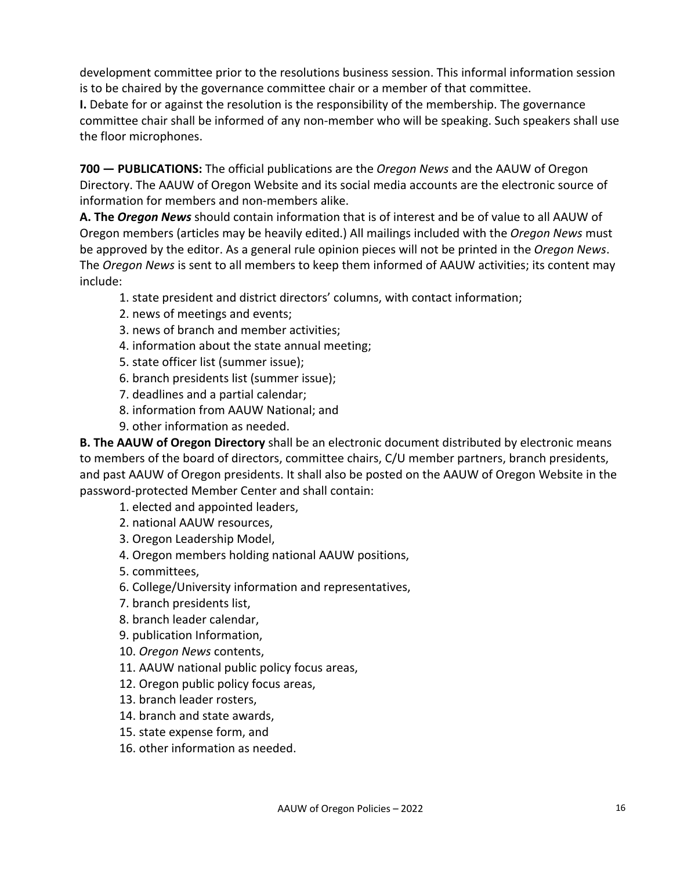development committee prior to the resolutions business session. This informal information session is to be chaired by the governance committee chair or a member of that committee.

**I.** Debate for or against the resolution is the responsibility of the membership. The governance committee chair shall be informed of any non-member who will be speaking. Such speakers shall use the floor microphones.

**700 — PUBLICATIONS:** The official publications are the *Oregon News* and the AAUW of Oregon Directory. The AAUW of Oregon Website and its social media accounts are the electronic source of information for members and non-members alike.

**A. The** *Oregon News* should contain information that is of interest and be of value to all AAUW of Oregon members (articles may be heavily edited.) All mailings included with the *Oregon News* must be approved by the editor. As a general rule opinion pieces will not be printed in the *Oregon News*. The *Oregon News* is sent to all members to keep them informed of AAUW activities; its content may include:

- 1. state president and district directors' columns, with contact information;
- 2. news of meetings and events;
- 3. news of branch and member activities;
- 4. information about the state annual meeting;
- 5. state officer list (summer issue);
- 6. branch presidents list (summer issue);
- 7. deadlines and a partial calendar;
- 8. information from AAUW National; and
- 9. other information as needed.

**B. The AAUW of Oregon Directory** shall be an electronic document distributed by electronic means to members of the board of directors, committee chairs, C/U member partners, branch presidents, and past AAUW of Oregon presidents. It shall also be posted on the AAUW of Oregon Website in the password-protected Member Center and shall contain:

- 1. elected and appointed leaders,
- 2. national AAUW resources,
- 3. Oregon Leadership Model,
- 4. Oregon members holding national AAUW positions,
- 5. committees,
- 6. College/University information and representatives,
- 7. branch presidents list,
- 8. branch leader calendar,
- 9. publication Information,
- 10. *Oregon News* contents,
- 11. AAUW national public policy focus areas,
- 12. Oregon public policy focus areas,
- 13. branch leader rosters,
- 14. branch and state awards,
- 15. state expense form, and
- 16. other information as needed.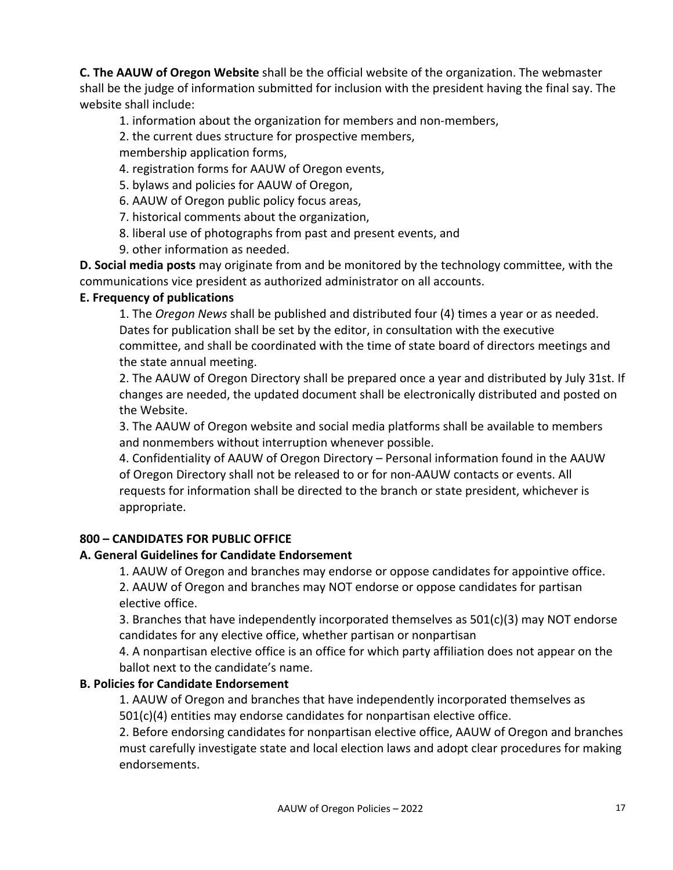**C. The AAUW of Oregon Website** shall be the official website of the organization. The webmaster shall be the judge of information submitted for inclusion with the president having the final say. The website shall include:

1. information about the organization for members and non-members,

2. the current dues structure for prospective members,

membership application forms,

- 4. registration forms for AAUW of Oregon events,
- 5. bylaws and policies for AAUW of Oregon,
- 6. AAUW of Oregon public policy focus areas,
- 7. historical comments about the organization,
- 8. liberal use of photographs from past and present events, and
- 9. other information as needed.

**D. Social media posts** may originate from and be monitored by the technology committee, with the communications vice president as authorized administrator on all accounts.

### **E. Frequency of publications**

1. The *Oregon News* shall be published and distributed four (4) times a year or as needed. Dates for publication shall be set by the editor, in consultation with the executive committee, and shall be coordinated with the time of state board of directors meetings and the state annual meeting.

2. The AAUW of Oregon Directory shall be prepared once a year and distributed by July 31st. If changes are needed, the updated document shall be electronically distributed and posted on the Website.

3. The AAUW of Oregon website and social media platforms shall be available to members and nonmembers without interruption whenever possible.

4. Confidentiality of AAUW of Oregon Directory – Personal information found in the AAUW of Oregon Directory shall not be released to or for non-AAUW contacts or events. All requests for information shall be directed to the branch or state president, whichever is appropriate.

### **800 – CANDIDATES FOR PUBLIC OFFICE**

### **A. General Guidelines for Candidate Endorsement**

1. AAUW of Oregon and branches may endorse or oppose candidates for appointive office. 2. AAUW of Oregon and branches may NOT endorse or oppose candidates for partisan elective office.

3. Branches that have independently incorporated themselves as 501(c)(3) may NOT endorse candidates for any elective office, whether partisan or nonpartisan

4. A nonpartisan elective office is an office for which party affiliation does not appear on the ballot next to the candidate's name.

# **B. Policies for Candidate Endorsement**

1. AAUW of Oregon and branches that have independently incorporated themselves as 501(c)(4) entities may endorse candidates for nonpartisan elective office.

2. Before endorsing candidates for nonpartisan elective office, AAUW of Oregon and branches must carefully investigate state and local election laws and adopt clear procedures for making endorsements.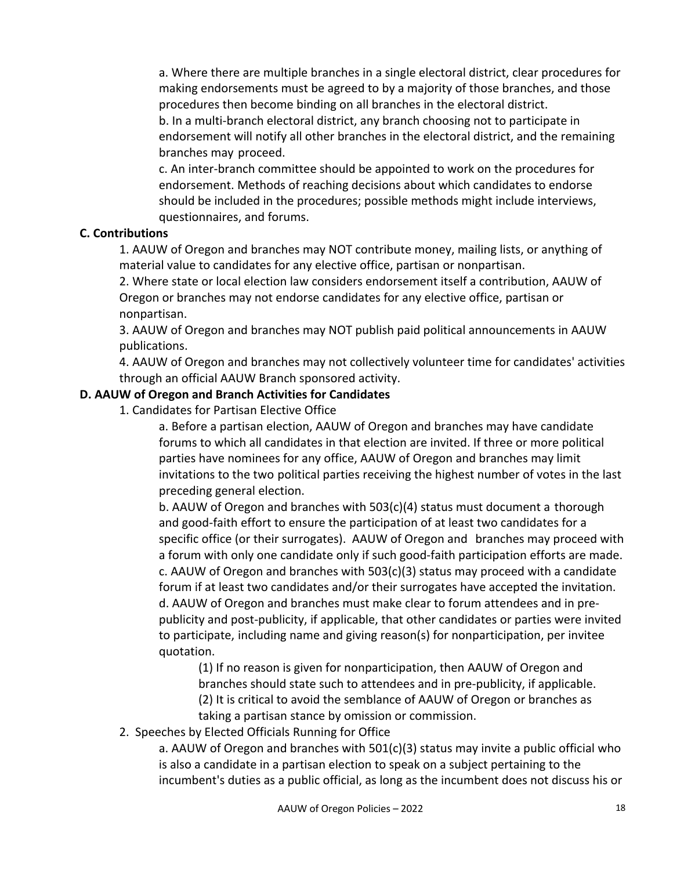a. Where there are multiple branches in a single electoral district, clear procedures for making endorsements must be agreed to by a majority of those branches, and those procedures then become binding on all branches in the electoral district.

b. In a multi-branch electoral district, any branch choosing not to participate in endorsement will notify all other branches in the electoral district, and the remaining branches may proceed.

c. An inter-branch committee should be appointed to work on the procedures for endorsement. Methods of reaching decisions about which candidates to endorse should be included in the procedures; possible methods might include interviews, questionnaires, and forums.

### **C. Contributions**

1. AAUW of Oregon and branches may NOT contribute money, mailing lists, or anything of material value to candidates for any elective office, partisan or nonpartisan.

2. Where state or local election law considers endorsement itself a contribution, AAUW of Oregon or branches may not endorse candidates for any elective office, partisan or nonpartisan.

3. AAUW of Oregon and branches may NOT publish paid political announcements in AAUW publications.

4. AAUW of Oregon and branches may not collectively volunteer time for candidates' activities through an official AAUW Branch sponsored activity.

### **D. AAUW of Oregon and Branch Activities for Candidates**

1. Candidates for Partisan Elective Office

a. Before a partisan election, AAUW of Oregon and branches may have candidate forums to which all candidates in that election are invited. If three or more political parties have nominees for any office, AAUW of Oregon and branches may limit invitations to the two political parties receiving the highest number of votes in the last preceding general election.

b. AAUW of Oregon and branches with 503(c)(4) status must document a thorough and good-faith effort to ensure the participation of at least two candidates for a specific office (or their surrogates). AAUW of Oregon and branches may proceed with a forum with only one candidate only if such good-faith participation efforts are made. c. AAUW of Oregon and branches with 503(c)(3) status may proceed with a candidate forum if at least two candidates and/or their surrogates have accepted the invitation. d. AAUW of Oregon and branches must make clear to forum attendees and in prepublicity and post-publicity, if applicable, that other candidates or parties were invited to participate, including name and giving reason(s) for nonparticipation, per invitee quotation.

(1) If no reason is given for nonparticipation, then AAUW of Oregon and branches should state such to attendees and in pre-publicity, if applicable. (2) It is critical to avoid the semblance of AAUW of Oregon or branches as taking a partisan stance by omission or commission.

2. Speeches by Elected Officials Running for Office

a. AAUW of Oregon and branches with 501(c)(3) status may invite a public official who is also a candidate in a partisan election to speak on a subject pertaining to the incumbent's duties as a public official, as long as the incumbent does not discuss his or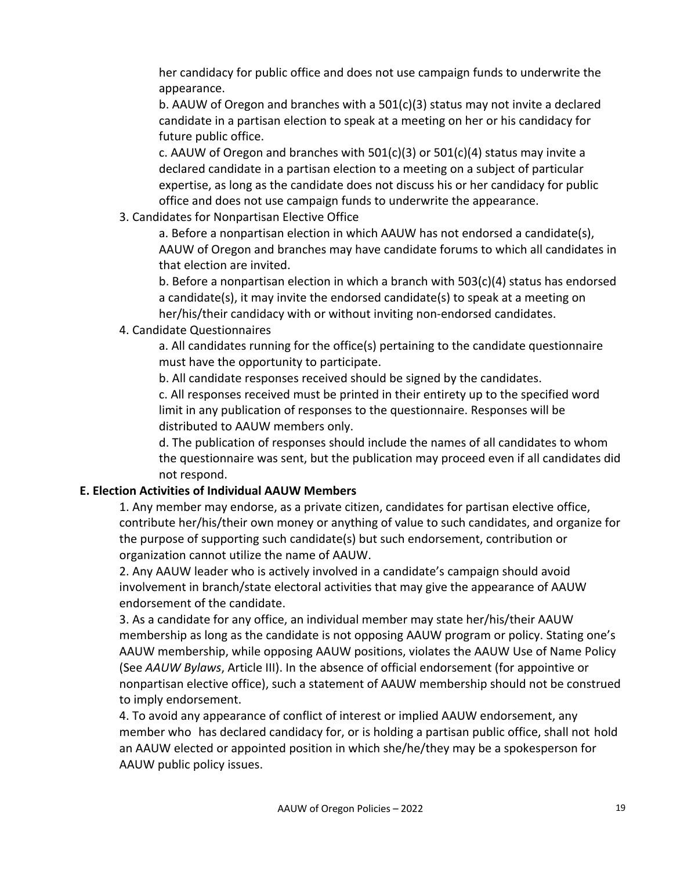her candidacy for public office and does not use campaign funds to underwrite the appearance.

b. AAUW of Oregon and branches with a  $501(c)(3)$  status may not invite a declared candidate in a partisan election to speak at a meeting on her or his candidacy for future public office.

c. AAUW of Oregon and branches with  $501(c)(3)$  or  $501(c)(4)$  status may invite a declared candidate in a partisan election to a meeting on a subject of particular expertise, as long as the candidate does not discuss his or her candidacy for public office and does not use campaign funds to underwrite the appearance.

3. Candidates for Nonpartisan Elective Office

a. Before a nonpartisan election in which AAUW has not endorsed a candidate(s), AAUW of Oregon and branches may have candidate forums to which all candidates in that election are invited.

b. Before a nonpartisan election in which a branch with 503(c)(4) status has endorsed a candidate(s), it may invite the endorsed candidate(s) to speak at a meeting on her/his/their candidacy with or without inviting non-endorsed candidates.

### 4. Candidate Questionnaires

a. All candidates running for the office(s) pertaining to the candidate questionnaire must have the opportunity to participate.

b. All candidate responses received should be signed by the candidates.

c. All responses received must be printed in their entirety up to the specified word limit in any publication of responses to the questionnaire. Responses will be distributed to AAUW members only.

d. The publication of responses should include the names of all candidates to whom the questionnaire was sent, but the publication may proceed even if all candidates did not respond.

# **E. Election Activities of Individual AAUW Members**

1. Any member may endorse, as a private citizen, candidates for partisan elective office, contribute her/his/their own money or anything of value to such candidates, and organize for the purpose of supporting such candidate(s) but such endorsement, contribution or organization cannot utilize the name of AAUW.

2. Any AAUW leader who is actively involved in a candidate's campaign should avoid involvement in branch/state electoral activities that may give the appearance of AAUW endorsement of the candidate.

3. As a candidate for any office, an individual member may state her/his/their AAUW membership as long as the candidate is not opposing AAUW program or policy. Stating one's AAUW membership, while opposing AAUW positions, violates the AAUW Use of Name Policy (See *AAUW Bylaws*, Article III). In the absence of official endorsement (for appointive or nonpartisan elective office), such a statement of AAUW membership should not be construed to imply endorsement.

4. To avoid any appearance of conflict of interest or implied AAUW endorsement, any member who has declared candidacy for, or is holding a partisan public office, shall not hold an AAUW elected or appointed position in which she/he/they may be a spokesperson for AAUW public policy issues.